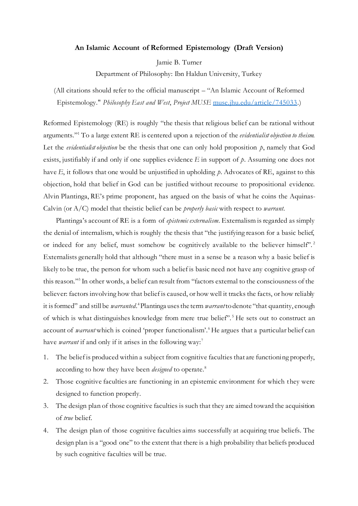# **An Islamic Account of Reformed Epistemology (Draft Version)**

Jamie B. Turner

Department of Philosophy: Ibn Haldun University, Turkey

(All citations should refer to the official manuscript – "An Islamic Account of Reformed Epistemology." *Philosophy East and West*, *Project MUSE* [muse.jhu.edu/article/745033](https://muse.jhu.edu/article/745033).)

Reformed Epistemology (RE) is roughly "the thesis that religious belief can be rational without arguments."<sup>1</sup> To a large extent RE is centered upon a rejection of the *evidentialist objection to theism*. Let the *evidentialist objection* be the thesis that one can only hold proposition *p*, namely that God exists, justifiably if and only if one supplies evidence *E* in support of *p*. Assuming one does not have *E*, it follows that one would be unjustified in upholding p. Advocates of RE, against to this objection, hold that belief in God can be justified without recourse to propositional evidence. Alvin Plantinga, RE's prime proponent, has argued on the basis of what he coins the Aquinas-Calvin (or A/C) model that theistic belief can be *properly basic* with respect to *warrant*.

Plantinga's account of RE is a form of *epistemic externalism*. Externalism is regarded as simply the denial of internalism, which is roughly the thesis that "the justifying reason for a basic belief, or indeed for any belief, must somehow be cognitively available to the believer himself".<sup>2</sup> Externalists generally hold that although "there must in a sense be a reason why a basic belief is likely to be true, the person for whom such a belief is basic need not have any cognitive grasp of this reason."<sup>3</sup> In other words, a belief can result from "factors external to the consciousness of the believer: factors involving how that belief is caused, or how well it tracks the facts, or how reliably it is formed" and still be *warranted*. <sup>4</sup>Plantinga uses the term *warrant* to denote "that quantity, enough of which is what distinguishes knowledge from mere true belief". <sup>5</sup> He sets out to construct an account of *warrant* which is coined 'proper functionalism'.<sup>6</sup> He argues that a particular belief can have *warrant* if and only if it arises in the following way:<sup>7</sup>

- 1. The belief is produced within a subject from cognitive faculties that are functioning properly, according to how they have been *designed* to operate.<sup>8</sup>
- 2. Those cognitive faculties are functioning in an epistemic environment for which they were designed to function properly.
- 3. The design plan of those cognitive faculties is such that they are aimed toward the acquisition of *true* belief.
- 4. The design plan of those cognitive faculties aims successfully at acquiring true beliefs. The design plan is a "good one" to the extent that there is a high probability that beliefs produced by such cognitive faculties will be true.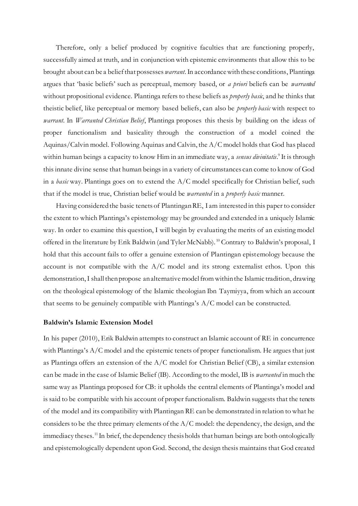Therefore, only a belief produced by cognitive faculties that are functioning properly, successfully aimed at truth, and in conjunction with epistemic environments that allow this to be brought about can be a beliefthat possesses *warrant*. In accordance with these conditions, Plantinga argues that 'basic beliefs' such as perceptual, memory based, or *a priori* beliefs can be *warranted*  without propositional evidence*.* Plantinga refers to these beliefs as *properly basic*, and he thinks that theistic belief, like perceptual or memory based beliefs, can also be *properly basic* with respect to *warrant*. In *Warranted Christian Belief*, Plantinga proposes this thesis by building on the ideas of proper functionalism and basicality through the construction of a model coined the Aquinas/Calvin model. Following Aquinas and Calvin, the A/C model holds that God has placed within human beings a capacity to know Him in an immediate way, a *sensus divinitatis*. 9 It is through this innate divine sense that human beings in a variety of circumstances can come to know of God in a *basic* way. Plantinga goes on to extend the A/C model specifically for Christian belief, such that if the model is true, Christian belief would be *warranted* in a *properly basic* manner.

Having considered the basic tenets of Plantingan RE, I am interested in this paper to consider the extent to which Plantinga's epistemology may be grounded and extended in a uniquely Islamic way. In order to examine this question, I will begin by evaluating the merits of an existing model offered in the literature by Erik Baldwin (and Tyler McNabb). <sup>10</sup> Contrary to Baldwin's proposal, I hold that this account fails to offer a genuine extension of Plantingan epistemology because the account is not compatible with the  $A/C$  model and its strong externalist ethos. Upon this demonstration,I shall then propose an alternative model from within the Islamic tradition, drawing on the theological epistemology of the Islamic theologian Ibn Taymiyya, from which an account that seems to be genuinely compatible with Plantinga's A/C model can be constructed.

#### **Baldwin's Islamic Extension Model**

In his paper (2010), Erik Baldwin attempts to construct an Islamic account of RE in concurrence with Plantinga's A/C model and the epistemic tenets of proper functionalism. He argues that just as Plantinga offers an extension of the A/C model for Christian Belief (CB), a similar extension can be made in the case of Islamic Belief (IB). According to the model, IB is *warranted* in much the same way as Plantinga proposed for CB: it upholds the central elements of Plantinga's model and is said to be compatible with his account of proper functionalism. Baldwin suggests that the tenets of the model and its compatibility with Plantingan RE can be demonstrated in relation to what he considers to be the three primary elements of the A/C model: the dependency, the design, and the immediacy theses.<sup>11</sup> In brief, the dependency thesis holds that human beings are both ontologically and epistemologically dependent upon God. Second, the design thesis maintains that God created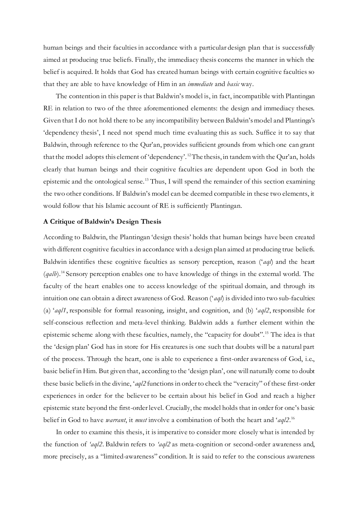human beings and their faculties in accordance with a particular design plan that is successfully aimed at producing true beliefs. Finally, the immediacy thesis concerns the manner in which the belief is acquired. It holds that God has created human beings with certain cognitive faculties so that they are able to have knowledge of Him in an *immediate* and *basic* way.

The contention in this paper is that Baldwin's model is, in fact, incompatible with Plantingan RE in relation to two of the three aforementioned elements: the design and immediacy theses. Given that I do not hold there to be any incompatibility between Baldwin's model and Plantinga's 'dependency thesis', I need not spend much time evaluating this as such. Suffice it to say that Baldwin, through reference to the Qur'an, provides sufficient grounds from which one can grant that the model adopts this element of 'dependency'. <sup>12</sup>The thesis, in tandem with the Qur'an, holds clearly that human beings and their cognitive faculties are dependent upon God in both the epistemic and the ontological sense.<sup>13</sup> Thus, I will spend the remainder of this section examining the two other conditions. If Baldwin's model can be deemed compatible in these two elements, it would follow that his Islamic account of RE is sufficiently Plantingan.

# **A Critique of Baldwin's Design Thesis**

According to Baldwin, the Plantingan 'design thesis' holds that human beings have been created with different cognitive faculties in accordance with a design plan aimed at producing true beliefs. Baldwin identifies these cognitive faculties as sensory perception, reason ('*aql*) and the heart (*qalb*).<sup>14</sup> Sensory perception enables one to have knowledge of things in the external world. The faculty of the heart enables one to access knowledge of the spiritual domain, and through its intuition one can obtain a direct awareness of God. Reason ('*aql*) is divided into two sub-faculties: (a) '*aql1*, responsible for formal reasoning, insight, and cognition, and (b) '*aql2*, responsible for self-conscious reflection and meta-level thinking. Baldwin adds a further element within the epistemic scheme along with these faculties, namely, the "capacity for doubt".<sup>15</sup> The idea is that the 'design plan' God has in store for His creatures is one such that doubts will be a natural part of the process. Through the heart, one is able to experience a first-order awareness of God, i.e., basic belief in Him. But given that, according to the 'design plan', one will naturally come to doubt these basic beliefs in the divine, '*aql2* functions in order to check the "veracity" of these first-order experiences in order for the believer to be certain about his belief in God and reach a higher epistemic state beyond the first-order level. Crucially, the model holds that in order for one's basic belief in God to have *warrant*, it *must* involve a combination of both the heart and '*aql2*. 16

In order to examine this thesis, it is imperative to consider more closely what is intended by the function of *'aql2*. Baldwin refers to *'aql2* as meta-cognition or second-order awareness and, more precisely, as a "limited*-*awareness" condition. It is said to refer to the conscious awareness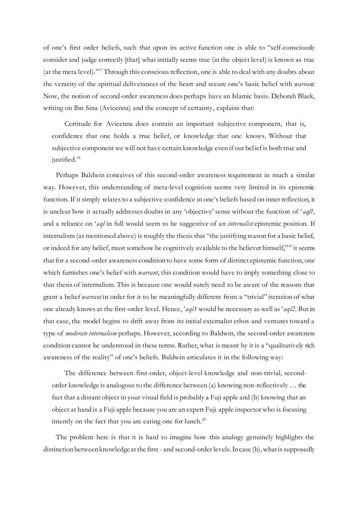of one's first order beliefs, such that upon its active function one is able to "self-consciously consider and judge correctly [that] what initially seems true (at the object level) is known as true (at the meta level)."<sup>17</sup> Through this conscious reflection, one is able to deal with any doubts about the veracity of the spiritual deliverances of the heart and secure one's basic belief with *warrant*. Now, the notion of second-order awareness does perhaps have an Islamic basis. Deborah Black, writing on Ibn Sina (Avicenna) and the concept of certainty, explains that:

Certitude for Avicenna does contain an important subjective component, that is, confidence that one holds a true belief, or knowledge that one knows. Without that subjective component we will not have certain knowledge even if our belief is both true and justified.<sup>18</sup>

Perhaps Baldwin conceives of this second-order awareness requirement in much a similar way. However, this understanding of meta-level cognition seems very limited in its epistemic function. If it simply relates to a subjective confidence in one's beliefs based on inner reflection, it is unclear how it actually addresses doubts in any 'objective' sense without the function of ' *aql1*, and a reliance on '*aql* in full would seem to be suggestive of an *internalist* epistemic position. If internalism (as mentioned above) is roughly the thesis that "the justifying reason for a basic belief, or indeed for any belief, must somehow be cognitively available to the believer himself,"<sup>19</sup> it seems that for a second-order awareness condition to have some form of distinct epistemic function, one which furnishes one's belief with *warrant*, this condition would have to imply something close to that thesis of internalism. This is because one would surely need to be aware of the reasons that grant a belief *warrant* in order for it to be meaningfully different from a "trivial" iteration of what one already knows at the first-order level. Hence, '*aql1* would be necessary as well as '*aql2*. But in that case, the model begins to drift away from its initial externalist ethos and ventures toward a type of *moderate internalism* perhaps. However, according to Baldwin, the second-order awareness condition cannot be understood in these terms. Rather, what is meant by it is a "qualitatively rich awareness of the reality" of one's beliefs. Baldwin articulates it in the following way:

The difference between first-order, object-level knowledge and non-trivial, secondorder knowledge is analogous to the difference between (a) knowing non-reflectively … the fact that a distant object in your visual field is probably a Fuji apple and (b) knowing that an object at hand is a Fuji apple because you are an expert Fuji apple inspector who is focusing intently on the fact that you are eating one for lunch.<sup>20</sup>

The problem here is that it is hard to imagine how this analogy genuinely highlights the distinction between knowledge at the first - and second-order levels. In case (b), what is supposedly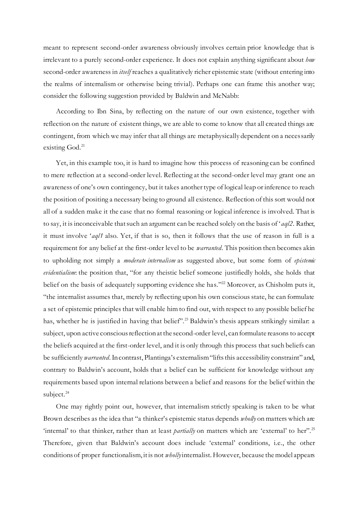meant to represent second-order awareness obviously involves certain prior knowledge that is irrelevant to a purely second-order experience. It does not explain anything significant about *how*  second-order awareness in *itself* reaches a qualitatively richer epistemic state (without entering into the realms of internalism or otherwise being trivial). Perhaps one can frame this another way; consider the following suggestion provided by Baldwin and McNabb:

According to Ibn Sina, by reflecting on the nature of our own existence, together with reflection on the nature of existent things, we are able to come to know that all created things are contingent, from which we may infer that all things are metaphysically dependent on a necessarily existing God. 21

Yet, in this example too, it is hard to imagine how this process of reasoning can be confined to mere reflection at a second-order level. Reflecting at the second-order level may grant one an awareness of one's own contingency, but it takes another type of logical leap or inference to reach the position of positing a necessary being to ground all existence. Reflection of this sort would not all of a sudden make it the case that no formal reasoning or logical inference is involved. That is to say, it is inconceivable that such an argument can be reached solely on the basis of ' *aql2*. Rather, it must involve '*aql1* also. Yet, if that is so, then it follows that the use of reason in full is a requirement for any belief at the first-order level to be *warranted*. This position then becomes akin to upholding not simply a *moderate internalism* as suggested above, but some form of *epistemic evidentialism*: the position that, "for any theistic belief someone justifiedly holds, she holds that belief on the basis of adequately supporting evidence she has."<sup>22</sup> Moreover, as Chisholm puts it, "the internalist assumes that, merely by reflecting upon his own conscious state, he can formulate a set of epistemic principles that will enable him to find out, with respect to any possible belief he has, whether he is justified in having that belief".<sup>23</sup> Baldwin's thesis appears strikingly similar: a subject, upon active conscious reflection at the second-order level, can formulate reasons to accept the beliefs acquired at the first-order level, and it is only through this process that such beliefs can be sufficiently *warranted*. In contrast, Plantinga's externalism "lifts this accessibility constraint" and, contrary to Baldwin's account, holds that a belief can be sufficient for knowledge without any requirements based upon internal relations between a belief and reasons for the belief within the subject.<sup>24</sup>

One may rightly point out, however, that internalism strictly speaking is taken to be what Brown describes as the idea that "a thinker's epistemic status depends *wholly* on matters which are 'internal' to that thinker, rather than at least *partially* on matters which are 'external' to her".<sup>25</sup> Therefore, given that Baldwin's account does include 'external' conditions, i.e., the other conditions of proper functionalism, it is not *wholly*internalist. However, because the model appears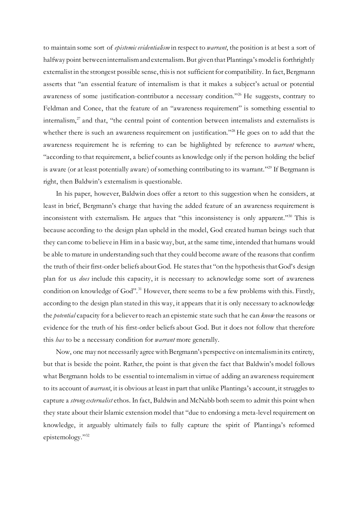to maintain some sort of *epistemic evidentialism* in respect to *warrant*, the position is at best a sort of halfway point between internalism and externalism. But given that Plantinga's model is forthrightly externalist in the strongest possible sense, this is not sufficient for compatibility. In fact, Bergmann asserts that "an essential feature of internalism is that it makes a subject's actual or potential awareness of some justification-contributor a necessary condition."<sup>26</sup> He suggests, contrary to Feldman and Conee, that the feature of an "awareness requirement" is something essential to internalism, <sup>27</sup> and that, "the central point of contention between internalists and externalists is whether there is such an awareness requirement on justification."<sup>28</sup> He goes on to add that the awareness requirement he is referring to can be highlighted by reference to *warrant* where, "according to that requirement, a belief counts as knowledge only if the person holding the belief is aware (or at least potentially aware) of something contributing to its warrant."<sup>29</sup> If Bergmann is right, then Baldwin's externalism is questionable.

In his paper, however, Baldwin does offer a retort to this suggestion when he considers, at least in brief, Bergmann's charge that having the added feature of an awareness requirement is inconsistent with externalism. He argues that "this inconsistency is only apparent."<sup>30</sup> This is because according to the design plan upheld in the model, God created human beings such that they cancome to believe in Him in a basic way, but, atthe same time, intended that humans would be able to mature in understanding such that they could become aware of the reasons that confirm the truth of their first-order beliefs about God. He states that "on the hypothesis that God's design plan for us *does* include this capacity, it is necessary to acknowledge some sort of awareness condition on knowledge of God".<sup>31</sup> However, there seems to be a few problems with this. Firstly, according to the design plan stated in this way, it appears that it is only necessary to acknowledge the *potential* capacity for a believer to reach an epistemic state such that he can *know* the reasons or evidence for the truth of his first-order beliefs about God. But it does not follow that therefore this *has* to be a necessary condition for *warrant* more generally.

Now, one may not necessarily agree with Bergmann's perspective on internalism in its entirety, but that is beside the point. Rather, the point is that given the fact that Baldwin's model follows what Bergmann holds to be essential to internalism in virtue of adding an awareness requirement to its account of *warrant*, it is obvious at least in part that unlike Plantinga's account, it struggles to capture a *strong externalist* ethos. In fact, Baldwin and McNabb both seem to admit this point when they state about their Islamic extension model that "due to endorsing a meta-level requirement on knowledge, it arguably ultimately fails to fully capture the spirit of Plantinga's reformed epistemology."32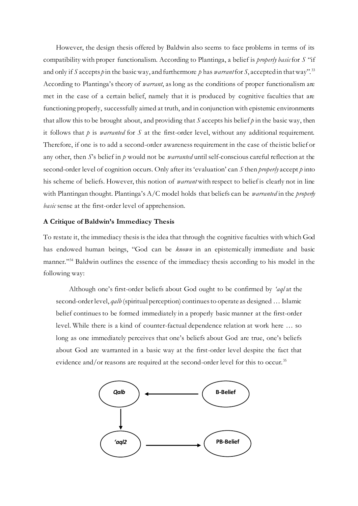However, the design thesis offered by Baldwin also seems to face problems in terms of its compatibility with proper functionalism. According to Plantinga, a belief is *properly basic* for *S* "if and only if *S* accepts *p* in the basic way, and furthermore *p* has *warrant* for *S*, accepted in that way".<sup>33</sup> According to Plantinga's theory of *warrant*, as long as the conditions of proper functionalism are met in the case of a certain belief, namely that it is produced by cognitive faculties that are functioning properly, successfully aimed at truth, and in conjunction with epistemic environments that allow this to be brought about, and providing that *S* accepts his belief *p* in the basic way, then it follows that *p* is *warranted* for *S* at the first-order level, without any additional requirement. Therefore, if one is to add a second-order awareness requirement in the case of theistic belief or any other, then *S*'s belief in *p* would not be *warranted* until self-conscious careful reflection at the second-order level of cognition occurs. Only after its 'evaluation' can *S* then *properly* accept *p* into his scheme of beliefs. However, this notion of *warrant* with respect to belief is clearly not in line with Plantingan thought. Plantinga's A/C model holds that beliefs can be *warranted* in the *properly basic* sense at the first-order level of apprehension.

# **A Critique of Baldwin's Immediacy Thesis**

To restate it, the immediacy thesis is the idea that through the cognitive faculties with which God has endowed human beings, "God can be *known* in an epistemically immediate and basic manner."<sup>34</sup> Baldwin outlines the essence of the immediacy thesis according to his model in the following way:

Although one's first-order beliefs about God ought to be confirmed by *'aql* at the second-order level, *qalb* (spiritual perception) continues to operate as designed … Islamic belief continues to be formed immediately in a properly basic manner at the first-order level. While there is a kind of counter-factual dependence relation at work here … so long as one immediately perceives that one's beliefs about God are true, one's beliefs about God are warranted in a basic way at the first-order level despite the fact that evidence and/or reasons are required at the second-order level for this to occur.<sup>35</sup>

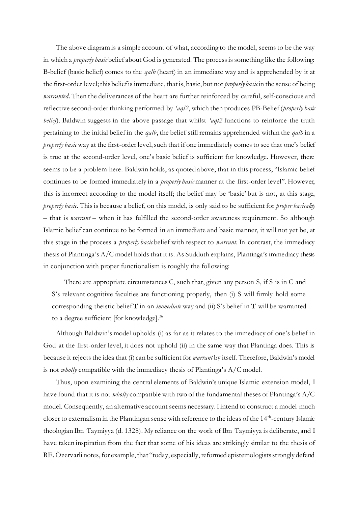The above diagram is a simple account of what, according to the model, seems to be the way in which a *properly basic* belief about God is generated. The process is something like the following: B-belief (basic belief) comes to the *qalb* (heart) in an immediate way and is apprehended by it at the first-order level; this belief is immediate, that is, basic, but not *properly basic* in the sense of being *warranted*. Then the deliverances of the heart are further reinforced by careful, self-conscious and reflective second-order thinking performed by *'aql2*, which then produces PB-Belief (*properly basic belief*). Baldwin suggests in the above passage that whilst *'aql2* functions to reinforce the truth pertaining to the initial belief in the *qalb*, the belief still remains apprehended within the *qalb* in a *properly basic* way at the first-order level, such that if one immediately comes to see that one's belief is true at the second-order level, one's basic belief is sufficient for knowledge. However, there seems to be a problem here. Baldwin holds, as quoted above, that in this process, "Islamic belief continues to be formed immediately in a *properly basic* manner at the first-order level". However, this is incorrect according to the model itself; the belief may be 'basic' but is not, at this stage, *properly basic*. This is because a belief, on this model, is only said to be sufficient for *proper basicality* – that is *warrant* – when it has fulfilled the second-order awareness requirement. So although Islamic belief can continue to be formed in an immediate and basic manner, it will not yet be, at this stage in the process a *properly basic* belief with respect to *warrant*. In contrast, the immediacy thesis of Plantinga's A/C model holds that it is. As Sudduth explains, Plantinga's immediacy thesis in conjunction with proper functionalism is roughly the following:

There are appropriate circumstances C, such that, given any person S, if S is in C and S's relevant cognitive faculties are functioning properly, then (i) S will firmly hold some corresponding theistic belief T in an *immediate* way and (ii) S's belief in T will be warranted to a degree sufficient [for knowledge].<sup>36</sup>

Although Baldwin's model upholds (i) as far as it relates to the immediacy of one's belief in God at the first-order level, it does not uphold (ii) in the same way that Plantinga does. This is because it rejects the idea that (i) can be sufficient for *warrant* by itself. Therefore, Baldwin's model is not *wholly* compatible with the immediacy thesis of Plantinga's A/C model.

Thus, upon examining the central elements of Baldwin's unique Islamic extension model, I have found that it is not *wholly* compatible with two of the fundamental theses of Plantinga's A/C model. Consequently, an alternative account seems necessary. I intend to construct a model much closer to externalism in the Plantingan sense with reference to the ideas of the 14<sup>th</sup>-century Islamic theologian Ibn Taymiyya (d. 1328). My reliance on the work of Ibn Taymiyya is deliberate, and I have taken inspiration from the fact that some of his ideas are strikingly similar to the thesis of RE. Özervarli notes, for example, that "today, especially, reformed epistemologists strongly defend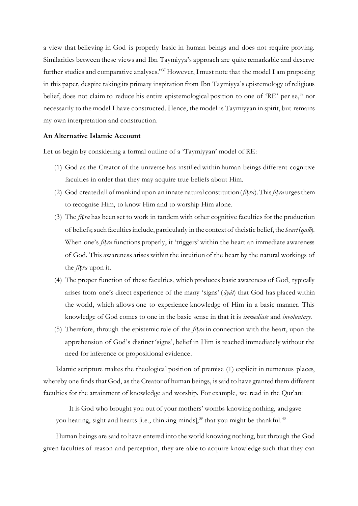a view that believing in God is properly basic in human beings and does not require proving. Similarities between these views and Ibn Taymiyya's approach are quite remarkable and deserve further studies and comparative analyses."<sup>37</sup> However, I must note that the model I am proposing in this paper, despite taking its primary inspiration from Ibn Taymiyya's epistemology of religious belief, does not claim to reduce his entire epistemological position to one of 'RE' per se,<sup>38</sup> nor necessarily to the model I have constructed. Hence, the model is Taymiyyan in spirit, but remains my own interpretation and construction.

### **An Alternative Islamic Account**

Let us begin by considering a formal outline of a 'Taymiyyan' model of RE:

- (1) God as the Creator of the universe has instilled within human beings different cognitive faculties in order that they may acquire true beliefs about Him.
- (2) God created all of mankind upon an innate natural constitution (*fitra*). This *fitra* urges them to recognise Him, to know Him and to worship Him alone.
- (3) The *fiṭra* has been set to work in tandem with other cognitive faculties for the production of beliefs; such faculties include, particularly in the context of theistic belief, the *heart*(*qalb*). When one's *fitra* functions properly, it 'triggers' within the heart an immediate awareness of God. This awareness arises within the intuition of the heart by the natural workings of the *fiṭra* upon it.
- (4) The proper function of these faculties, which produces basic awareness of God, typically arises from one's direct experience of the many 'signs' (*āyāt*) that God has placed within the world, which allows one to experience knowledge of Him in a basic manner. This knowledge of God comes to one in the basic sense in that it is *immediate* and *involuntary*.
- (5) Therefore, through the epistemic role of the *fiṭra* in connection with the heart, upon the apprehension of God's distinct 'signs', belief in Him is reached immediately without the need for inference or propositional evidence.

Islamic scripture makes the theological position of premise (1) explicit in numerous places, whereby one finds that God, as the Creator of human beings, is said to have granted them different faculties for the attainment of knowledge and worship. For example, we read in the Qur'an:

It is God who brought you out of your mothers' wombs knowing nothing, and gave you hearing, sight and hearts [i.e., thinking minds], $^{39}$  that you might be thankful. $^{40}$ 

Human beings are said to have entered into the world knowing nothing, but through the God given faculties of reason and perception, they are able to acquire knowledge such that they can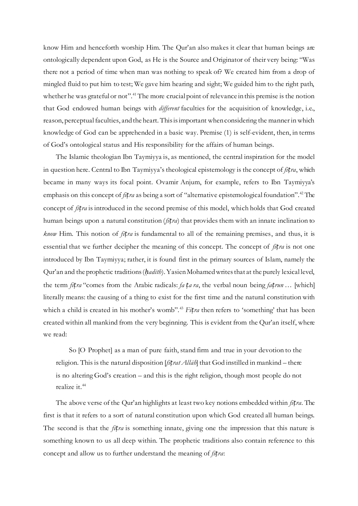know Him and henceforth worship Him. The Qur'an also makes it clear that human beings are ontologically dependent upon God, as He is the Source and Originator of their very being: "Was there not a period of time when man was nothing to speak of? We created him from a drop of mingled fluid to put him to test; We gave him hearing and sight; We guided him to the right path, whether he was grateful or not".<sup>41</sup> The more crucial point of relevance in this premise is the notion that God endowed human beings with *different* faculties for the acquisition of knowledge, i.e., reason, perceptual faculties, and the heart. This is important when considering the manner in which knowledge of God can be apprehended in a basic way. Premise (1) is self-evident, then, in terms of God's ontological status and His responsibility for the affairs of human beings.

The Islamic theologian Ibn Taymiyya is, as mentioned, the central inspiration for the model in question here. Central to Ibn Taymiyya's theological epistemology is the concept of *fiṭra*, which became in many ways its focal point. Ovamir Anjum, for example, refers to Ibn Taymiyya's emphasis on this concept of *fiṭra* as being a sort of "alternative epistemological foundation". <sup>42</sup> The concept of *fiṭra* is introduced in the second premise of this model, which holds that God created human beings upon a natural constitution (*fiṭra*) that provides them with an innate inclination to *know* Him. This notion of *fiṭra* is fundamental to all of the remaining premises, and thus, it is essential that we further decipher the meaning of this concept. The concept of *fiṭra* is not one introduced by Ibn Taymiyya; rather, it is found first in the primary sources of Islam, namely the Qur'an and the prophetic traditions (*ḥadīth*). Yasien Mohamed writes that at the purely lexical level, the term *fiṭra* "comes from the Arabic radicals: *fa ṭa ra*, the verbal noun being *faṭrun* … [which] literally means: the causing of a thing to exist for the first time and the natural constitution with which a child is created in his mother's womb".<sup>43</sup> *Fitra* then refers to 'something' that has been created within all mankind from the very beginning. This is evident from the Qur'an itself, where we read:

So [O Prophet] as a man of pure faith, stand firm and true in your devotion to the religion. This is the natural disposition [*fiṭrat Allāh*] that God instilled in mankind – there is no altering God's creation – and this is the right religion, though most people do not realize it. 44

The above verse of the Qur'an highlights at least two key notions embedded within *fiṭra*. The first is that it refers to a sort of natural constitution upon which God created all human beings. The second is that the *fiṭra* is something innate, giving one the impression that this nature is something known to us all deep within. The prophetic traditions also contain reference to this concept and allow us to further understand the meaning of *fiṭra*: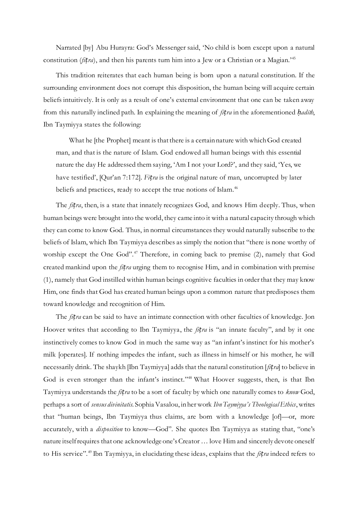Narrated [by] Abu Hurayra: God's Messenger said, 'No child is born except upon a natural constitution (*fiṭra*), and then his parents turn him into a Jew or a Christian or a Magian.'<sup>45</sup>

This tradition reiterates that each human being is born upon a natural constitution. If the surrounding environment does not corrupt this disposition, the human being will acquire certain beliefs intuitively. It is only as a result of one's external environment that one can be taken away from this naturally inclined path. In explaining the meaning of *fiṭra* in the aforementioned *ḥadīth*, Ibn Taymiyya states the following:

What he [the Prophet] meant is that there is a certain nature with which God created man, and that is the nature of Islam. God endowed all human beings with this essential nature the day He addressed them saying, 'Am I not your Lord?', and they said, 'Yes, we have testified', [Qur'an 7:172]. *Fiṭra* is the original nature of man, uncorrupted by later beliefs and practices, ready to accept the true notions of Islam.<sup>46</sup>

The *fiṭra*, then, is a state that innately recognizes God, and knows Him deeply. Thus, when human beings were brought into the world, they came into it with a natural capacity through which they can come to know God. Thus, in normal circumstances they would naturally subscribe to the beliefs of Islam, which Ibn Taymiyya describes as simply the notion that "there is none worthy of worship except the One God".<sup>47</sup> Therefore, in coming back to premise (2), namely that God created mankind upon the *fiṭra* urging them to recognise Him, and in combination with premise (1), namely that God instilled within human beings cognitive faculties in order that they may know Him, one finds that God has created human beings upon a common nature that predisposes them toward knowledge and recognition of Him.

The *fiṭra* can be said to have an intimate connection with other faculties of knowledge. Jon Hoover writes that according to Ibn Taymiyya, the *fiṭra* is "an innate faculty", and by it one instinctively comes to know God in much the same way as "an infant's instinct for his mother's milk [operates]. If nothing impedes the infant, such as illness in himself or his mother, he will necessarily drink. The shaykh [Ibn Taymiyya] adds that the natural constitution [*fiṭra*] to believe in God is even stronger than the infant's instinct."<sup>48</sup> What Hoover suggests, then, is that Ibn Taymiyya understands the *fiṭra* to be a sort of faculty by which one naturally comes to *know* God, perhaps a sort of *sensus divinitatis*. Sophia Vasalou, in her work *Ibn Taymiyya's Theological Ethics*, writes that "human beings, Ibn Taymiyya thus claims, are born with a knowledge [of]—or, more accurately, with a *disposition* to know—God". She quotes Ibn Taymiyya as stating that, "one's nature itself requires that one acknowledge one's Creator … love Him and sincerely devote oneself to His service".<sup>49</sup> Ibn Taymiyya, in elucidating these ideas, explains that the *fiṭra* indeed refers to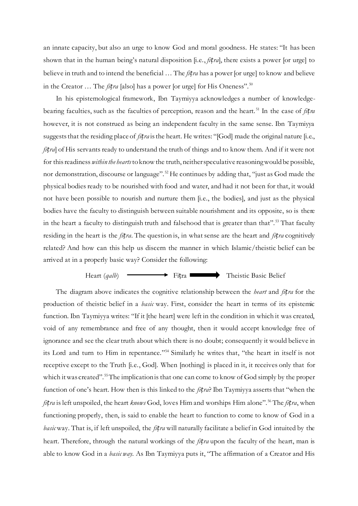an innate capacity, but also an urge to know God and moral goodness. He states: "It has been shown that in the human being's natural disposition [i.e., *fiṭra*], there exists a power [or urge] to believe in truth and to intend the beneficial … The *fiṭra* has a power [or urge] to know and believe in the Creator ... The *fitra* [also] has a power [or urge] for His Oneness".<sup>50</sup>

In his epistemological framework, Ibn Taymiyya acknowledges a number of knowledgebearing faculties, such as the faculties of perception, reason and the heart. <sup>51</sup> In the case of *fiṭra* however, it is not construed as being an independent faculty in the same sense. Ibn Taymiyya suggests that the residing place of *fiṭra* is the heart. He writes: "[God] made the original nature [i.e., *fitra*] of His servants ready to understand the truth of things and to know them. And if it were not for this readiness *within the hearts* to know the truth, neither speculative reasoning would be possible, nor demonstration, discourse or language".<sup>52</sup> He continues by adding that, "just as God made the physical bodies ready to be nourished with food and water, and had it not been for that, it would not have been possible to nourish and nurture them [i.e., the bodies], and just as the physical bodies have the faculty to distinguish between suitable nourishment and its opposite, so is there in the heart a faculty to distinguish truth and falsehood that is greater than that".<sup>53</sup> That faculty residing in the heart is the *fiṭra*. The question is, in what sense are the heart and *fiṭra* cognitively related? And how can this help us discern the manner in which Islamic/theistic belief can be arrived at in a properly basic way? Consider the following:



The diagram above indicates the cognitive relationship between the *heart* and *fiṭra* for the production of theistic belief in a *basic* way. First, consider the heart in terms of its epistemic function. Ibn Taymiyya writes: "If it [the heart] were left in the condition in which it was created, void of any remembrance and free of any thought, then it would accept knowledge free of ignorance and see the clear truth about which there is no doubt; consequently it would believe in its Lord and turn to Him in repentance."<sup>54</sup> Similarly he writes that, "the heart in itself is not receptive except to the Truth [i.e., God]. When [nothing] is placed in it, it receives only that for which it was created".<sup>55</sup>The implication is that one can come to know of God simply by the proper function of one's heart. How then is this linked to the *fiṭra*? Ibn Taymiyya asserts that "when the *fiṭra* is left unspoiled, the heart *knows* God, loves Him and worships Him alone".<sup>56</sup> The *fiṭra*, when functioning properly, then, is said to enable the heart to function to come to know of God in a *basic* way. That is, if left unspoiled, the *fiṭra* will naturally facilitate a belief in God intuited by the heart. Therefore, through the natural workings of the *fiṭra* upon the faculty of the heart, man is able to know God in a *basic way*. As Ibn Taymiyya puts it, "The affirmation of a Creator and His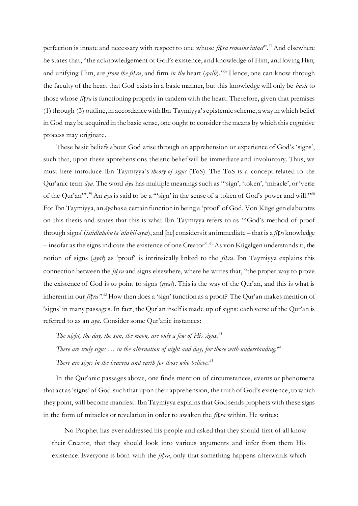perfection is innate and necessary with respect to one whose *fiṭra remains intact*".<sup>57</sup> And elsewhere he states that, "the acknowledgement of God's existence, and knowledge of Him, and loving Him, and unifying Him, are *from the fiṭra*, and firm *in the* heart (*qalb*)."<sup>58</sup> Hence, one can know through the faculty of the heart that God exists in a basic manner, but this knowledge will only be *basic* to those whose *fiṭra* is functioning properly in tandem with the heart. Therefore, given that premises (1) through (3) outline, in accordance with Ibn Taymiyya's epistemic scheme, a way in which belief in God may be acquired in the basic sense, one ought to consider the means by which this cognitive process may originate.

These basic beliefs about God arise through an apprehension or experience of God's 'signs', such that, upon these apprehensions theistic belief will be immediate and involuntary. Thus, we must here introduce Ibn Taymiyya's *theory of signs* (ToS). The ToS is a concept related to the Qur'anic term *āya*. The word *āya* has multiple meanings such as "'sign', 'token', 'miracle', or 'verse of the Qur'an'".<sup>59</sup> An *āya* is said to be a "'sign' in the sense of a token of God's power and will."<sup>60</sup> For Ibn Taymiyya, an *āya* has a certain function in being a 'proof' of God. Von Kügelgen elaborates on this thesis and states that this is what Ibn Taymiyya refers to as "'God's method of proof through signs' (*istidlāluhu taʿālābil-āyāt*), and [he] considers it an immediate – that is a *fiṭrī* knowledge – insofar as the signs indicate the existence of one Creator".<sup>61</sup> As von Kügelgen understands it, the notion of signs (*āyāt*) as 'proof' is intrinsically linked to the *fiṭra*. Ibn Taymiyya explains this connection between the *fiṭra* and signs elsewhere, where he writes that, "the proper way to prove the existence of God is to point to signs (*āyāt*). This is the way of the Qur'an, and this is what is inherent in our *fiṭra".<sup>62</sup>* How then does a 'sign' function as a proof? The Qur'an makes mention of 'signs' in many passages. In fact, the Qur'an itself is made up of signs: each verse of the Qur'an is referred to as an *āya*. Consider some Qur'anic instances:

*The night, the day, the sun, the moon, are only a few of His signs.<sup>63</sup> There are truly signs … in the alternation of night and day, for those with understanding.<sup>64</sup> There are signs in the heavens and earth for those who believe.<sup>65</sup>*

In the Qur'anic passages above, one finds mention of circumstances, events or phenomena that act as 'signs' of God such that upon their apprehension, the truth of God's existence, to which they point, will become manifest. Ibn Taymiyya explains that God sends prophets with these signs in the form of miracles or revelation in order to awaken the *fiṭra* within. He writes:

No Prophet has ever addressed his people and asked that they should first of all know their Creator, that they should look into various arguments and infer from them His existence. Everyone is born with the *fiṭra*, only that something happens afterwards which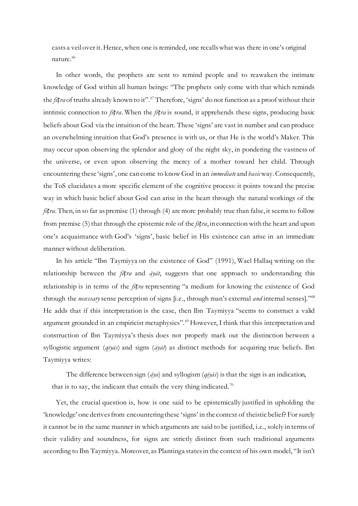casts a veil over it. Hence, when one is reminded, one recalls what was there in one's original nature. 66

In other words, the prophets are sent to remind people and to reawaken the intimate knowledge of God within all human beings: "The prophets only come with that which reminds the *fitra* of truths already known to it".<sup>67</sup> Therefore, 'signs' do not function as a proof without their intrinsic connection to *fiṭra*. When the *fiṭra* is sound, it apprehends these signs, producing basic beliefs about God via the intuition of the heart. These 'signs' are vast in number and can produce an overwhelming intuition that God's presence is with us, or that He is the world's Maker. This may occur upon observing the splendor and glory of the night sky, in pondering the vastness of the universe, or even upon observing the mercy of a mother toward her child. Through encountering these 'signs', one can come to know God in an *immediate* and *basic*way. Consequently, the ToS elucidates a more specific element of the cognitive process: it points toward the precise way in which basic belief about God can arise in the heart through the natural workings of the *fiṭra*. Then, in so far as premise (1) through (4) are more probably true than false, it seems to follow from premise (5) that through the epistemic role of the *fiṭra*, in connection with the heart and upon one's acquaintance with God's 'signs', basic belief in His existence can arise in an immediate manner without deliberation.

In his article "Ibn Taymiyya on the existence of God" (1991), Wael Hallaq writing on the relationship between the *fiṭra* and *āyāt*, suggests that one approach to understanding this relationship is in terms of the *fiṭra* representing "a medium for knowing the existence of God through the *necessary* sense perception of signs [i.e., through man's external *and* internal senses]."<sup>68</sup> He adds that if this interpretation is the case, then Ibn Taymiyya "seems to construct a valid argument grounded in an empiricist metaphysics".<sup>69</sup> However, I think that this interpretation and construction of Ibn Taymiyya's thesis does not properly mark out the distinction between a syllogistic argument (*qiyās*) and signs (*āyāt*) as distinct methods for acquiring true beliefs. Ibn Taymiyya writes:

The difference between sign (*āya*) and syllogism (*qiyās*) is that the sign is an indication, that is to say, the indicant that entails the very thing indicated.<sup>70</sup>

Yet, the crucial question is, how is one said to be epistemically justified in upholding the 'knowledge' one derivesfrom encountering these 'signs' in the context of theistic belief? For surely it cannot be in the same manner in which arguments are said to be justified, i.e., solely in terms of their validity and soundness, for signs are strictly distinct from such traditional arguments according to Ibn Taymiyya. Moreover, as Plantinga states in the context of his own model, "It isn't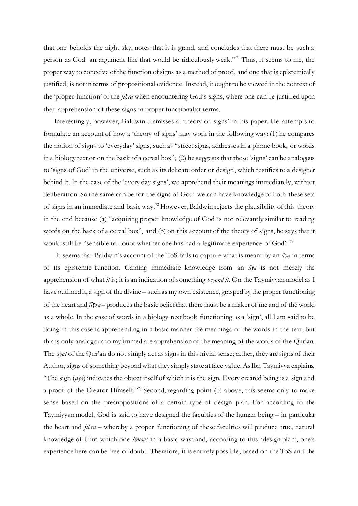that one beholds the night sky, notes that it is grand, and concludes that there must be such a person as God: an argument like that would be ridiculously weak."<sup>71</sup> Thus, it seems to me, the proper way to conceive of the function of signs as a method of proof, and one that is epistemically justified, is not in terms of propositional evidence. Instead, it ought to be viewed in the context of the 'proper function' of the *fiṭra* when encountering God's signs, where one can be justified upon their apprehension of these signs in proper functionalist terms.

Interestingly, however, Baldwin dismisses a 'theory of signs' in his paper. He attempts to formulate an account of how a 'theory of signs' may work in the following way: (1) he compares the notion of signs to 'everyday' signs, such as "street signs, addresses in a phone book, or words in a biology text or on the back of a cereal box"; (2) he suggests that these 'signs' can be analogous to 'signs of God' in the universe, such as its delicate order or design, which testifies to a designer behind it. In the case of the 'every day signs', we apprehend their meanings immediately, without deliberation. So the same can be for the signs of God: we can have knowledge of both these sets of signs in an immediate and basic way.<sup>72</sup> However, Baldwin rejects the plausibility of this theory in the end because (a) "acquiring proper knowledge of God is not relevantly similar to reading words on the back of a cereal box", and (b) on this account of the theory of signs, he says that it would still be "sensible to doubt whether one has had a legitimate experience of God".<sup>73</sup>

It seems that Baldwin's account of the ToS fails to capture what is meant by an *āya* in terms of its epistemic function. Gaining immediate knowledge from an *āya* is not merely the apprehension of what *it* is; it is an indication of something *beyond it*. On the Taymiyyan model as I have outlined it, a sign of the divine – such as my own existence, grasped by the proper functioning of the heart and *fiṭra* – produces the basic belief that there must be a maker of me and of the world as a whole. In the case of words in a biology text book functioning as a 'sign', all I am said to be doing in this case is apprehending in a basic manner the meanings of the words in the text; but this is only analogous to my immediate apprehension of the meaning of the words of the Qur'an. The *āyāt* of the Qur'an do not simply act as signs in this trivial sense; rather, they are signs of their Author, signs of something beyond what they simply state at face value. As Ibn Taymiyya explains, "The sign (*āya*) indicates the object itself of which it is the sign. Every created being is a sign and a proof of the Creator Himself."<sup>74</sup> Second, regarding point (b) above, this seems only to make sense based on the presuppositions of a certain type of design plan. For according to the Taymiyyan model, God is said to have designed the faculties of the human being – in particular the heart and *fiṭra* – whereby a proper functioning of these faculties will produce true, natural knowledge of Him which one *knows* in a basic way; and, according to this 'design plan', one's experience here can be free of doubt. Therefore, it is entirely possible, based on the ToS and the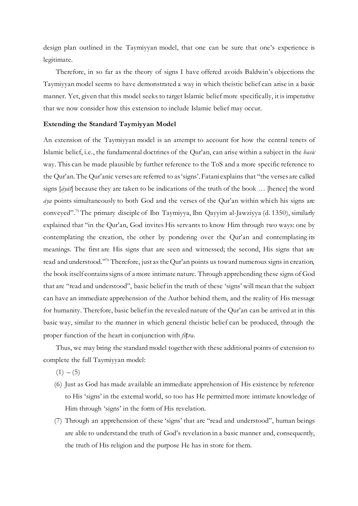design plan outlined in the Taymiyyan model, that one can be sure that one's experience is legitimate.

Therefore, in so far as the theory of signs I have offered avoids Baldwin's objections the Taymiyyan model seems to have demonstrated a way in which theistic belief can arise in a basic manner. Yet, given that this model seeks to target Islamic belief more specifically, it is imperative that we now consider how this extension to include Islamic belief may occur.

#### **Extending the Standard Taymiyyan Model**

An extension of the Taymiyyan model is an attempt to account for how the central tenets of Islamic belief, i.e., the fundamental doctrines of the Qur'an, can arise within a subject in the *basic* way. This can be made plausible by further reference to the ToS and a more specific reference to the Qur'an. The Qur'anic verses are referred to as 'signs'. Fatani explains that "the verses are called signs [*āyāt*] because they are taken to be indications of the truth of the book … [hence] the word *āya* points simultaneously to both God and the verses of the Qur'an within which his signs are conveyed".<sup>75</sup> The primary disciple of Ibn Taymiyya, Ibn Qayyim al-Jawziyya (d. 1350), similarly explained that "in the Qur'an, God invites His servants to know Him through two ways: one by contemplating the creation, the other by pondering over the Qur'an and contemplating its meanings. The first are His signs that are seen and witnessed; the second, His signs that are read and understood."<sup>76</sup> Therefore, just as the Qur'an points us toward numerous signs in creation, the book itself contains signs of a more intimate nature. Through apprehending these signs of God that are "read and understood", basic belief in the truth of these 'signs' will mean that the subject can have an immediate apprehension of the Author behind them, and the reality of His message for humanity. Therefore, basic belief in the revealed nature of the Qur'an can be arrived at in this basic way, similar to the manner in which general theistic belief can be produced, through the proper function of the heart in conjunction with *fiṭra*.

Thus, we may bring the standard model together with these additional points of extension to complete the full Taymiyyan model:

 $(1) - (5)$ 

- (6) Just as God has made available an immediate apprehension of His existence by reference to His 'signs' in the external world, so too has He permitted more intimate knowledge of Him through 'signs' in the form of His revelation.
- (7) Through an apprehension of these 'signs' that are "read and understood", human beings are able to understand the truth of God's revelation in a basic manner and, consequently, the truth of His religion and the purpose He has in store for them.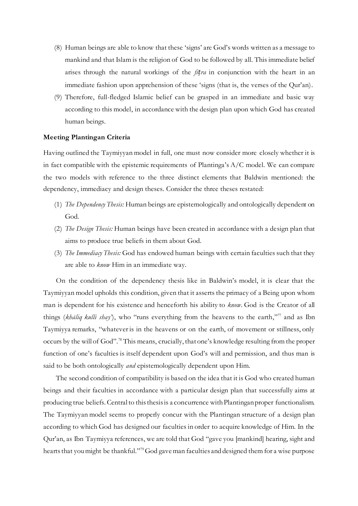- (8) Human beings are able to know that these 'signs' are God's words written as a message to mankind and that Islam is the religion of God to be followed by all. This immediate belief arises through the natural workings of the *fiṭra* in conjunction with the heart in an immediate fashion upon apprehension of these 'signs (that is, the verses of the Qur'an).
- (9) Therefore, full-fledged Islamic belief can be grasped in an immediate and basic way according to this model, in accordance with the design plan upon which God has created human beings.

# **Meeting Plantingan Criteria**

Having outlined the Taymiyyan model in full, one must now consider more closely whether it is in fact compatible with the epistemic requirements of Plantinga's  $A/C$  model. We can compare the two models with reference to the three distinct elements that Baldwin mentioned: the dependency, immediacy and design theses. Consider the three theses restated:

- (1) *The Dependency Thesis:* Human beings are epistemologically and ontologically dependent on God.
- (2) *The Design Thesis:* Human beings have been created in accordance with a design plan that aims to produce true beliefs in them about God.
- (3) *The Immediacy Thesis:* God has endowed human beings with certain faculties such that they are able to *know* Him in an immediate way.

On the condition of the dependency thesis like in Baldwin's model, it is clear that the Taymiyyan model upholds this condition, given that it asserts the primacy of a Being upon whom man is dependent for his existence and henceforth his ability to *know*. God is the Creator of all things (*khāliq kulli shay'*), who "runs everything from the heavens to the earth," <sup>77</sup> and as Ibn Taymiyya remarks, "whatever is in the heavens or on the earth, of movement or stillness, only occurs by the will of God".<sup>78</sup> This means, crucially, that one's knowledge resulting from the proper function of one's faculties is itself dependent upon God's will and permission, and thus man is said to be both ontologically *and* epistemologically dependent upon Him.

The second condition of compatibility is based on the idea that it is God who created human beings and their faculties in accordance with a particular design plan that successfully aims at producing true beliefs. Central to this thesis is a concurrence with Plantingan proper functionalism. The Taymiyyan model seems to properly concur with the Plantingan structure of a design plan according to which God has designed our faculties in order to acquire knowledge of Him. In the Qur'an, as Ibn Taymiyya references, we are told that God "gave you [mankind] hearing, sight and hearts that you might be thankful."<sup>79</sup>God gave man faculties and designed them for a wise purpose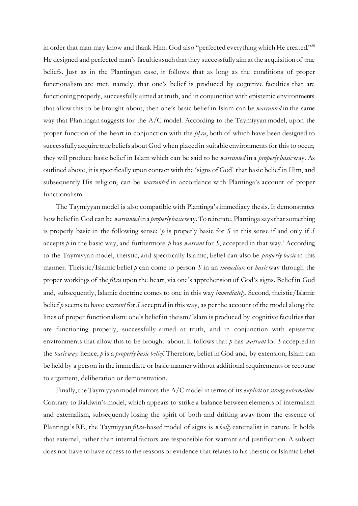in order that man may know and thank Him. God also "perfected everything which He created."80 He designed and perfected man's faculties such that they successfully aim at the acquisition of true beliefs. Just as in the Plantingan case, it follows that as long as the conditions of proper functionalism are met, namely, that one's belief is produced by cognitive faculties that are functioning properly, successfully aimed at truth, and in conjunction with epistemic environments that allow this to be brought about, then one's basic belief in Islam can be *warranted* in the same way that Plantingan suggests for the A/C model. According to the Taymiyyan model, upon the proper function of the heart in conjunction with the *fiṭra*, both of which have been designed to successfully acquire true beliefs about God when placed in suitable environments for this to occur, they will produce basic belief in Islam which can be said to be *warranted* in a *properly basic* way. As outlined above, it is specifically upon contact with the 'signs of God' that basic belief in Him, and subsequently His religion, can be *warranted* in accordance with Plantinga's account of proper functionalism.

The Taymiyyan model is also compatible with Plantinga's immediacy thesis. It demonstrates how belief in God can be *warranted* in a *properly basic* way. To reiterate, Plantinga says that something is properly basic in the following sense: '*p* is properly basic for *S* in this sense if and only if *S*  accepts *p* in the basic way, and furthermore *p* has *warrant* for *S*, accepted in that way.' According to the Taymiyyan model, theistic, and specifically Islamic, belief can also be *properly basic* in this manner. Theistic/Islamic belief *p* can come to person *S* in an *immediate* or *basic* way through the proper workings of the *fiṭra* upon the heart, via one's apprehension of God's signs. Belief in God and, subsequently, Islamic doctrine comes to one in this way *immediately*. Second, theistic/Islamic belief *p* seems to have *warrant* for *S* accepted in this way, as per the account of the model along the lines of proper functionalism: one's belief in theism/Islam is produced by cognitive faculties that are functioning properly, successfully aimed at truth, and in conjunction with epistemic environments that allow this to be brought about. It follows that *p* has *warrant* for *S* accepted in the *basic way*: hence, *p* is a *properly basic belief*. Therefore, belief in God and, by extension, Islam can be held by a person in the immediate or basic manner without additional requirements or recourse to argument, deliberation or demonstration.

Finally, the Taymiyyan model mirrors the A/C model in terms of its *explicit* or *strong externalism*. Contrary to Baldwin's model, which appears to strike a balance between elements of internalism and externalism, subsequently losing the spirit of both and drifting away from the essence of Plantinga's RE, the Taymiyyan *fiṭra*-based model of signs is *wholly* externalist in nature. It holds that external, rather than internal factors are responsible for warrant and justification. A subject does not have to have access to the reasons or evidence that relates to his theistic or Islamic belief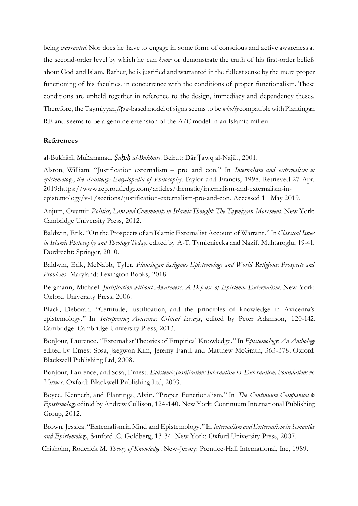being *warranted*. Nor does he have to engage in some form of conscious and active awareness at the second-order level by which he can *know* or demonstrate the truth of his first-order beliefs about God and Islam. Rather, he is justified and warranted in the fullest sense by the mere proper functioning of his faculties, in concurrence with the conditions of proper functionalism. These conditions are upheld together in reference to the design, immediacy and dependency theses. Therefore, the Taymiyyan*fiṭra*-based model of signs seems to be *wholly* compatible with Plantingan RE and seems to be a genuine extension of the A/C model in an Islamic milieu.

# **References**

al-Bukhārī, Muḥammad. *Ṣaḥīḥ al-Bukhārī*. Beirut: Dār Ṭawq al-Najāt, 2001.

Alston, William. "Justification externalism – pro and con." In *Internalism and externalism in epistemology*; *the Routledge Encyclopedia of Philosophy*. Taylor and Francis, 1998. Retrieved 27 Apr. 2019:https://www.rep.routledge.com/articles/thematic/internalism-and-externalism-inepistemology/v-1/sections/justification-externalism-pro-and-con. Accessed 11 May 2019.

Anjum, Ovamir. *Politics, Law and Community in Islamic Thought: The Taymiyyan Movement*. New York: Cambridge University Press, 2012.

Baldwin, Erik. "On the Prospects of an Islamic Externalist Account of Warrant." In *Classical Issues in Islamic Philosophy and Theology Today*, edited by A-T. Tymieniecka and Nazif. Muhtaroglu, 19-41. Dordrecht: Springer, 2010.

Baldwin, Erik, McNabb, Tyler. *Plantingan Religious Epistemology and World Religions: Prospects and Problems*. Maryland: Lexington Books, 2018.

Bergmann, Michael. *Justification without Awareness: A Defense of Epistemic Externalism*. New York: Oxford University Press, 2006.

Black, Deborah. "Certitude, justification, and the principles of knowledge in Avicenna's epistemology." In *Interpreting Avicenna: Critical Essays*, edited by Peter Adamson, 120-142. Cambridge: Cambridge University Press, 2013.

BonJour, Laurence. "Externalist Theories of Empirical Knowledge." In *Epistemology: An Anthology* edited by Ernest Sosa, Jaegwon Kim, Jeremy Fantl, and Matthew McGrath, 363-378. Oxford: Blackwell Publishing Ltd, 2008.

BonJour, Laurence, and Sosa, Ernest. *Epistemic Justification: Internalism vs. Externalism, Foundations vs. Virtues*. Oxford: Blackwell Publishing Ltd, 2003.

Boyce, Kenneth, and Plantinga, Alvin. "Proper Functionalism." In *The Continuum Companion to Epistemology* edited by Andrew Cullison, 124-140. New York: Continuum International Publishing Group, 2012.

Brown, Jessica. "Externalism in Mind and Epistemology." In *Internalism and Externalism in Semantics and Epistemology*, Sanford .C. Goldberg, 13-34. New York: Oxford University Press, 2007.

Chisholm, Roderick M. *Theory of Knowledge*. New-Jersey: Prentice-Hall International, Inc, 1989.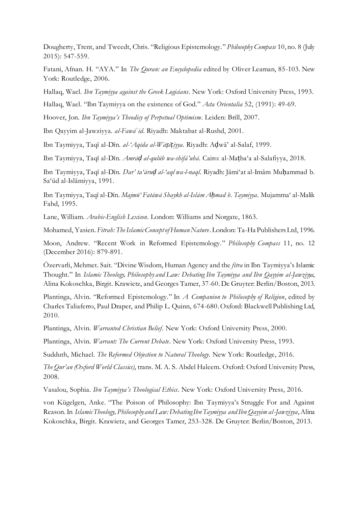Dougherty, Trent, and Tweedt, Chris. "Religious Epistemology." *Philosophy Compass* 10, no. 8 (July 2015): 547-559.

Fatani, Afnan. H. "AYA." In *The Quran: an Encyclopedia* edited by Oliver Leaman, 85-103. New York: Routledge, 2006.

Hallaq, Wael. *Ibn Taymiyya against the Greek Logicians*. New York: Oxford University Press, 1993.

Hallaq, Wael. "Ibn Taymiyya on the existence of God." *Acta Orientalia* 52, (1991): 49-69.

Hoover, Jon. *Ibn Taymiyya's Theodicy of Perpetual Optimism*. Leiden: Brill, 2007.

Ibn Qayyim al-Jawziyya. *al-Fawā*ʾ*id*. Riyadh: Maktabat al-Rushd, 2001.

Ibn Taymiyya, Taqī al-Dīn. *al-'Aqīda al-Wāṣiṭiyya.* Riyadh: Aḍwā' al-Salaf, 1999.

Ibn Taymiyya, Taqī al-Dīn. *Amrāḍ al-qulūb wa-shifā'uhā*. Cairo: al-Maṭba'a al-Salafiyya, 2018.

Ibn Taymiyya, Taqī al-Dīn. *Dar' ta'āruḍ al-'aql wa-l-naql*. Riyadh: Jāmi'at al-Imām Muḥammad b. Sa'ūd al-Islāmiyya, 1991.

Ibn Taymiyya, Taqī al-Dīn. *Majmū' Fatāwā Shaykh al-Islām Aḥmad b. Taymiyya*. Mujamma' al-Malik Fahd, 1995.

Lane, William. *Arabic-English Lexicon*. London: Williams and Norgate, 1863.

Mohamed, Yasien. *Fitrah: The Islamic Concept of Human Nature*. London: Ta-Ha Publishers Ltd, 1996.

Moon, Andrew. "Recent Work in Reformed Epistemology." *Philosophy Compass* 11, no. 12 (December 2016): 879-891.

Özervarli, Mehmet. Sait. "Divine Wisdom, Human Agency and the *fitra* in Ibn Taymiyya's Islamic Thought." In *Islamic Theology, Philosophy and Law: Debating Ibn Taymiyya and Ibn Qayyim al-Jawziyya*, Alina Kokoschka, Birgit. Krawietz, and Georges Tamer, 37-60. De Gruyter: Berlin/Boston, 2013.

Plantinga, Alvin. "Reformed Epistemology." In *A Companion to Philosophy of Religion*, edited by Charles Taliaferro, Paul Draper, and Philip L. Quinn, 674-680. Oxford: Blackwell Publishing Ltd, 2010.

Plantinga, Alvin. *Warranted Christian Belief*. New York: Oxford University Press, 2000.

Plantinga, Alvin. *Warrant: The Current Debate*. New York: Oxford University Press, 1993.

Sudduth, Michael. *The Reformed Objection to Natural Theology*. New York: Routledge, 2016.

*The Qur'an (Oxford World Classics)*, trans. M. A. S. Abdel Haleem. Oxford: Oxford University Press, 2008.

Vasalou, Sophia. *Ibn Taymiyya's Theological Ethics*. New York: Oxford University Press, 2016.

von Kügelgen, Anke. "The Poison of Philosophy: Ibn Taymiyya's Struggle For and Against Reason. In *Islamic Theology, Philosophy and Law: Debating Ibn Taymiyya and Ibn Qayyim al-Jawziyya*, Alina Kokoschka, Birgit. Krawietz, and Georges Tamer, 253-328. De Gruyter: Berlin/Boston, 2013.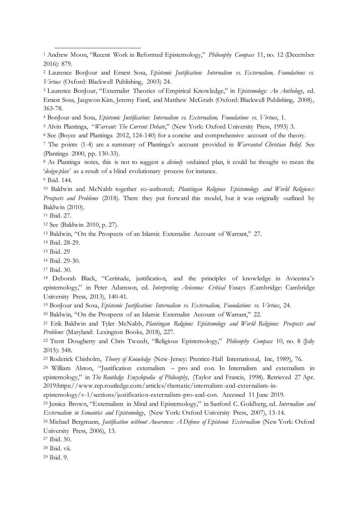BonJour and Sosa, *Epistemic Justification: Internalism vs. Externalism, Foundations vs. Virtues*, 1.

Alvin Plantinga, "*Warrant: The Current Debate*," (New York: Oxford University Press, 1993) 3.

See (Boyce and Plantinga 2012, 124-140) for a concise and comprehensive account of the theory.

 The points (1-4) are a summary of Plantinga's account provided in *Warranted Christian Belief*. See (Plantinga 2000, pp. 130-33).

 As Plantinga notes, this is not to suggest a *divinely* ordained plan, it could be thought to mean the '*design-plan'* as a result of a blind evolutionary process for instance.

Ibid. 144.

 $\overline{a}$ 

 Baldwin and McNabb together co-authored; *Plantingan Religious Epistemology and World Religions: Prospects and Problems* (2018). There they put forward this model, but it was originally outlined by Baldwin (2010).

Ibid. 27.

See (Baldwin 2010, p. 27).

Baldwin, "On the Prospects of an Islamic Externalist Account of Warrant," 27.

Ibid. 28-29.

Ibid. 29

- Ibid. 29-30.
- Ibid. 30.

 Deborah Black, "Certitude, justification, and the principles of knowledge in Avicenna's epistemology," in Peter Adamson, ed. *Interpreting Avicenna: Critical* Essays (Cambridge: Cambridge University Press, 2013), 140-41.

BonJour and Sosa, *Epistemic Justification: Internalism vs. Externalism, Foundations vs. Virtues*, 24.

Baldwin, "On the Prospects of an Islamic Externalist Account of Warrant," 22.

 Erik Baldwin and Tyler McNabb, *Plantingan Religious Epistemology and World Religions: Prospects and Problems* (Maryland: Lexington Books, 2018), 227.

 Trent Dougherty and Chris Tweedt, "Religious Epistemology," *Philosophy Compass* 10, no. 8 (July 2015): 548.

Roderick Chisholm, *Theory of Knowledge* (New-Jersey: Prentice-Hall International, Inc, 1989), 76.

 William Alston, "Justification externalism – pro and con. In Internalism and externalism in epistemology," in *The Routledge Encyclopedia of Philosophy*, (Taylor and Francis, 1998). Retrieved 27 Apr. 2019:https://www.rep.routledge.com/articles/thematic/internalism-and-externalism-in-

epistemology/v-1/sections/justification-externalism-pro-and-con. Accessed 11 June 2019.

 Jessica Brown, "Externalism in Mind and Epistemology," in Sanford C. Goldberg, ed. *Internalism and Externalism in Semantics and Epistemology*, (New York: Oxford University Press, 2007), 13-14.

 Michael Bergmann, *Justification without Awareness: A Defense of Epistemic Externalism* (New York: Oxford University Press, 2006), 13.

Ibid. 50.

Ibid. vii.

Ibid. 9.

 Andrew Moon, "Recent Work in Reformed Epistemology," *Philosophy Compass* 11, no. 12 (December 2016): 879.

 Laurence BonJour and Ernest Sosa, *Epistemic Justification: Internalism vs. Externalism, Foundations vs. Virtues* (Oxford: Blackwell Publishing, 2003) 24.

 Laurence BonJour, "Externalist Theories of Empirical Knowledge," in *Epistemology: An Anthology*, ed. Ernest Sosa, Jaegwon Kim, Jeremy Fantl, and Matthew McGrath (Oxford: Blackwell Publishing, 2008), 363-78.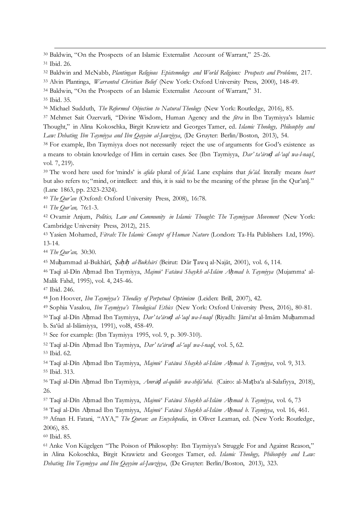$\overline{a}$ 

Alvin Plantinga, *Warranted Christian Belief* (New York: Oxford University Press, 2000), 148-49.

Ibid. 35.

Michael Sudduth, *The Reformed Objection to Natural Theology* (New York: Routledge, 2016), 85.

 Mehmet Sait Özervarli, "Divine Wisdom, Human Agency and the *fitra* in Ibn Taymiyya's Islamic Thought," in Alina Kokoschka, Birgit Krawietz and Georges Tamer, ed. *Islamic Theology, Philosophy and Law: Debating Ibn Taymiyya and Ibn Qayyim al-Jawziyya*, (De Gruyter: Berlin/Boston, 2013), 54.

 For example, Ibn Taymiyya does not necessarily reject the use of arguments for God's existence as a means to obtain knowledge of Him in certain cases. See (Ibn Taymiyya, *Dar' ta'āruḍ al-'aql wa-l-naql*, vol. 7, 219).

 The word here used for 'minds' is *afida* plural of *fu'ād*. Lane explains that *fu'ād*. literally means *heart* but also refers to; "mind, or intellect: and this, it is said to be the meaning of the phrase [in the Qur'an]." (Lane 1863, pp. 2323-2324).

*The Qur'an* (Oxford: Oxford University Press, 2008), 16:78.

*The Qur'an,* 76:1-3.

 Ovamir Anjum, *Politics, Law and Community in Islamic Thought: The Taymiyyan Movement* (New York: Cambridge University Press, 2012), 215.

 Yasien Mohamed, *Fitrah: The Islamic Concept of Human Nature* (London: Ta-Ha Publishers Ltd, 1996). 13-14.

*The Qur'an,* 30:30.

Muḥammad al-Bukhārī, *Ṣaḥīḥ al-Bukhārī* (Beirut: Dār Ṭawq al-Najāt, 2001), vol. 6, 114.

 Taqī al-Dīn Aḥmad Ibn Taymiyya, *Majmū' Fatāwā Shaykh al-Islām Aḥmad b. Taymiyya* (Mujamma' al-Malik Fahd, 1995), vol. 4, 245-46.

Ibid. 246.

Jon Hoover, *Ibn Taymiyya's Theodicy of Perpetual Optimism* (Leiden: Brill, 2007), 42.

Sophia Vasalou, *Ibn Taymiyya's Theological Ethics* (New York: Oxford University Press, 2016), 80-81.

 Taqī al-Dīn Aḥmad Ibn Taymiyya, *Dar' ta'āruḍ al-'aql wa-l-naql* (Riyadh: Jāmi'at al-Imām Muḥammad b. Sa'ūd al-Islāmiyya, 1991), vol8, 458-49.

See for example: (Ibn Taymiyya 1995, vol. 9, p. 309-310).

Taqī al-Dīn Aḥmad Ibn Taymiyya, *Dar' ta'āruḍ al-'aql wa-l-naql*, vol. 5, 62.

Ibid. 62.

 Taqī al-Dīn Aḥmad Ibn Taymiyya, *Majmū' Fatāwā Shaykh al-Islām Aḥmad b. Taymiyya*, vol. 9, 313. Ibid. 313.

 Taqī al-Dīn Aḥmad Ibn Taymiyya, *Amrāḍ al-qulūb wa-shifā'uhā*. (Cairo: al-Maṭba'a al-Salafiyya, 2018), 26.

Taqī al-Dīn Aḥmad Ibn Taymiyya, *Majmū' Fatāwā Shaykh al-Islām Aḥmad b. Taymiyya*, vol. 6, 73

Taqī al-Dīn Aḥmad Ibn Taymiyya, *Majmū' Fatāwā Shaykh al-Islām Aḥmad b. Taymiyya*, vol. 16, 461.

 Afnan H. Fatani, "AYA," *The Quran: an Encyclopedia*, in Oliver Leaman, ed. (New York: Routledge, 2006), 85.

Ibid. 85.

 Anke Von Kügelgen "The Poison of Philosophy: Ibn Taymiyya's Struggle For and Against Reason," in Alina Kokoschka, Birgit Krawietz and Georges Tamer, ed. *Islamic Theology, Philosophy and Law: Debating Ibn Taymiyya and Ibn Qayyim al-Jawziyya*, (De Gruyter: Berlin/Boston, 2013), 323.

Baldwin, "On the Prospects of an Islamic Externalist Account of Warrant," 25-26.

Ibid. 26.

Baldwin and McNabb, *Plantingan Religious Epistemology and World Religions: Prospects and Problems*, 217.

Baldwin, "On the Prospects of an Islamic Externalist Account of Warrant," 31.